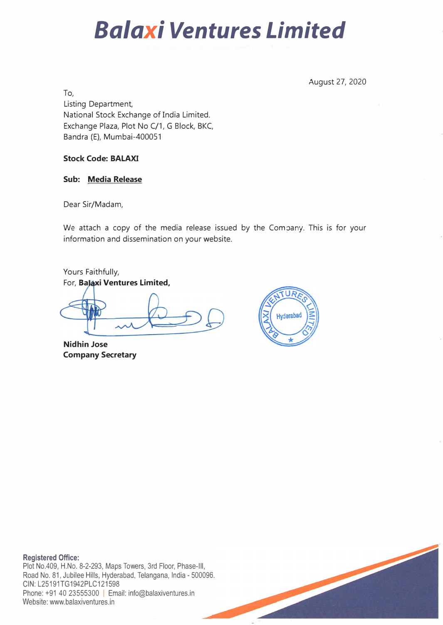# *Balaxi Ventures Limited*

August 27, 2020

To, Listing Department, National Stock Exchange of India Limited. Exchange Plaza, Plot No C/1, G Block, BKC, Bandra (E), Mumbai-400051

## **Stock Code: BALAXI**

## **Sub: Media Release**

Dear Sir/Madam,

We attach a copy of the media release issued by the Company. This is for your information and dissemination on your website.

Yours Faithfully, For, Balaxi Ventures Limited,

**Nidhin Jose Company Secretary** 



**Registered Office:**  Plot No.409, H.No. 8-2-293, Maps Towers, 3rd Floor, Phase-Ill, Road No. 81, Jubilee Hills, Hyderabad, Telangana, India - 500096. **CIN:** L25191TG1942PLC121598 Phone: +91 40 23555300 | Email: info@balaxiventures.in Website: www.balaxiventures.in